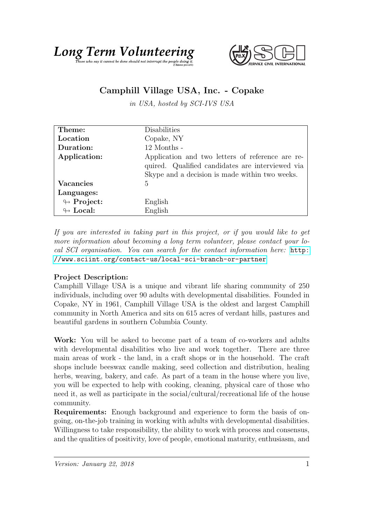



## Camphill Village USA, Inc. - Copake

in USA, hosted by SCI-IVS USA

| Theme:                     | Disabilities                                                                                                                                           |
|----------------------------|--------------------------------------------------------------------------------------------------------------------------------------------------------|
|                            |                                                                                                                                                        |
| Location                   | Copake, NY                                                                                                                                             |
| Duration:                  | $12$ Months -                                                                                                                                          |
| Application:               | Application and two letters of reference are re-<br>quired. Qualified candidates are interviewed via<br>Skype and a decision is made within two weeks. |
| <b>Vacancies</b>           | 5                                                                                                                                                      |
| Languages:                 |                                                                                                                                                        |
| $\looparrowright$ Project: | English                                                                                                                                                |
| $\leftrightarrow$ Local:   | English                                                                                                                                                |

If you are interested in taking part in this project, or if you would like to get more information about becoming a long term volunteer, please contact your local SCI organisation. You can search for the contact information here: [http:](http://www.sciint.org/contact-us/local-sci-branch-or-partner) [//www.sciint.org/contact-us/local-sci-branch-or-partner](http://www.sciint.org/contact-us/local-sci-branch-or-partner)

## Project Description:

Camphill Village USA is a unique and vibrant life sharing community of 250 individuals, including over 90 adults with developmental disabilities. Founded in Copake, NY in 1961, Camphill Village USA is the oldest and largest Camphill community in North America and sits on 615 acres of verdant hills, pastures and beautiful gardens in southern Columbia County.

Work: You will be asked to become part of a team of co-workers and adults with developmental disabilities who live and work together. There are three main areas of work - the land, in a craft shops or in the household. The craft shops include beeswax candle making, seed collection and distribution, healing herbs, weaving, bakery, and cafe. As part of a team in the house where you live, you will be expected to help with cooking, cleaning, physical care of those who need it, as well as participate in the social/cultural/recreational life of the house community.

Requirements: Enough background and experience to form the basis of ongoing, on-the-job training in working with adults with developmental disabilities. Willingness to take responsibility, the ability to work with process and consensus, and the qualities of positivity, love of people, emotional maturity, enthusiasm, and